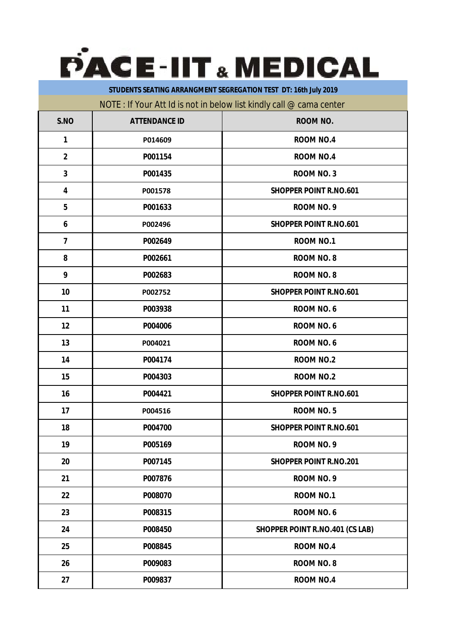

**STUDENTS SEATING ARRANGMENT SEGREGATION TEST DT: 16th July 2019**

## NOTE : If Your Att Id is not in below list kindly call @ cama center

| S.NO           | <b>ATTENDANCE ID</b> | <b>ROOM NO.</b>                        |
|----------------|----------------------|----------------------------------------|
| 1              | P014609              | <b>ROOM NO.4</b>                       |
| $\overline{2}$ | P001154              | <b>ROOM NO.4</b>                       |
| $\mathbf{3}$   | P001435              | <b>ROOM NO. 3</b>                      |
| 4              | P001578              | <b>SHOPPER POINT R.NO.601</b>          |
| 5              | P001633              | ROOM NO. 9                             |
| 6              | P002496              | <b>SHOPPER POINT R.NO.601</b>          |
| 7              | P002649              | <b>ROOM NO.1</b>                       |
| 8              | P002661              | <b>ROOM NO. 8</b>                      |
| 9              | P002683              | <b>ROOM NO. 8</b>                      |
| 10             | P002752              | <b>SHOPPER POINT R.NO.601</b>          |
| 11             | P003938              | ROOM NO. 6                             |
| 12             | P004006              | ROOM NO.6                              |
| 13             | P004021              | ROOM NO. 6                             |
| 14             | P004174              | <b>ROOM NO.2</b>                       |
| 15             | P004303              | <b>ROOM NO.2</b>                       |
| 16             | P004421              | <b>SHOPPER POINT R.NO.601</b>          |
| 17             | P004516              | <b>ROOM NO.5</b>                       |
| 18             | P004700              | <b>SHOPPER POINT R.NO.601</b>          |
| 19             | P005169              | ROOM NO. 9                             |
| 20             | P007145              | <b>SHOPPER POINT R.NO.201</b>          |
| 21             | P007876              | ROOM NO. 9                             |
| 22             | P008070              | <b>ROOM NO.1</b>                       |
| 23             | P008315              | ROOM NO.6                              |
| 24             | P008450              | <b>SHOPPER POINT R.NO.401 (CS LAB)</b> |
| 25             | P008845              | <b>ROOM NO.4</b>                       |
| 26             | P009083              | <b>ROOM NO. 8</b>                      |
| 27             | P009837              | <b>ROOM NO.4</b>                       |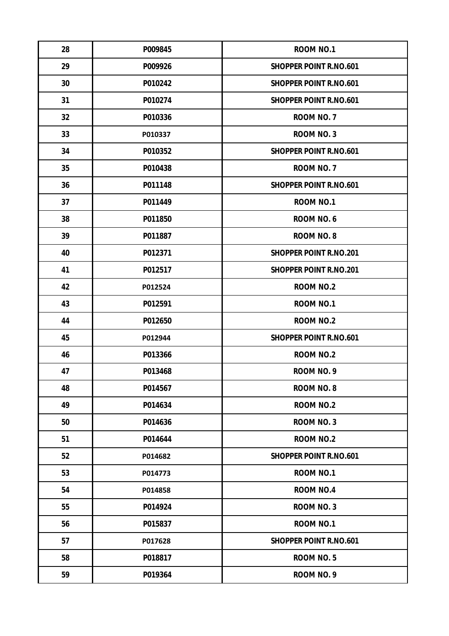| 28 | P009845 | <b>ROOM NO.1</b>              |
|----|---------|-------------------------------|
| 29 | P009926 | <b>SHOPPER POINT R.NO.601</b> |
| 30 | P010242 | <b>SHOPPER POINT R.NO.601</b> |
| 31 | P010274 | <b>SHOPPER POINT R.NO.601</b> |
| 32 | P010336 | ROOM NO. 7                    |
| 33 | P010337 | <b>ROOM NO. 3</b>             |
| 34 | P010352 | <b>SHOPPER POINT R.NO.601</b> |
| 35 | P010438 | ROOM NO. 7                    |
| 36 | P011148 | <b>SHOPPER POINT R.NO.601</b> |
| 37 | P011449 | ROOM NO.1                     |
| 38 | P011850 | ROOM NO. 6                    |
| 39 | P011887 | <b>ROOM NO. 8</b>             |
| 40 | P012371 | <b>SHOPPER POINT R.NO.201</b> |
| 41 | P012517 | <b>SHOPPER POINT R.NO.201</b> |
| 42 | P012524 | <b>ROOM NO.2</b>              |
| 43 | P012591 | ROOM NO.1                     |
| 44 | P012650 | <b>ROOM NO.2</b>              |
| 45 | P012944 | <b>SHOPPER POINT R.NO.601</b> |
| 46 | P013366 | <b>ROOM NO.2</b>              |
| 47 | P013468 | ROOM NO. 9                    |
| 48 | P014567 | <b>ROOM NO. 8</b>             |
| 49 | P014634 | <b>ROOM NO.2</b>              |
| 50 | P014636 | ROOM NO. 3                    |
| 51 | P014644 | <b>ROOM NO.2</b>              |
| 52 | P014682 | <b>SHOPPER POINT R.NO.601</b> |
| 53 | P014773 | ROOM NO.1                     |
| 54 | P014858 | <b>ROOM NO.4</b>              |
| 55 | P014924 | <b>ROOM NO. 3</b>             |
| 56 | P015837 | <b>ROOM NO.1</b>              |
| 57 | P017628 | <b>SHOPPER POINT R.NO.601</b> |
| 58 | P018817 | ROOM NO.5                     |
| 59 | P019364 | ROOM NO. 9                    |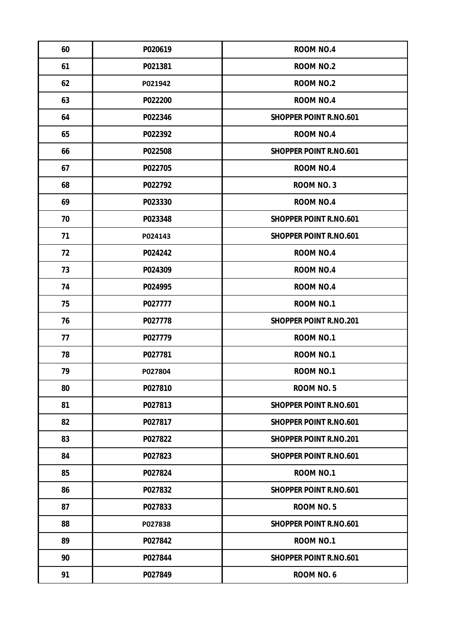| 60 | P020619 | <b>ROOM NO.4</b>              |
|----|---------|-------------------------------|
| 61 | P021381 | <b>ROOM NO.2</b>              |
| 62 | P021942 | <b>ROOM NO.2</b>              |
| 63 | P022200 | <b>ROOM NO.4</b>              |
| 64 | P022346 | <b>SHOPPER POINT R.NO.601</b> |
| 65 | P022392 | <b>ROOM NO.4</b>              |
| 66 | P022508 | <b>SHOPPER POINT R.NO.601</b> |
| 67 | P022705 | <b>ROOM NO.4</b>              |
| 68 | P022792 | ROOM NO. 3                    |
| 69 | P023330 | <b>ROOM NO.4</b>              |
| 70 | P023348 | <b>SHOPPER POINT R.NO.601</b> |
| 71 | P024143 | <b>SHOPPER POINT R.NO.601</b> |
| 72 | P024242 | <b>ROOM NO.4</b>              |
| 73 | P024309 | <b>ROOM NO.4</b>              |
| 74 | P024995 | <b>ROOM NO.4</b>              |
| 75 | P027777 | ROOM NO.1                     |
| 76 | P027778 | <b>SHOPPER POINT R.NO.201</b> |
| 77 | P027779 | <b>ROOM NO.1</b>              |
| 78 | P027781 | <b>ROOM NO.1</b>              |
| 79 | P027804 | ROOM NO.1                     |
| 80 | P027810 | <b>ROOM NO.5</b>              |
| 81 | P027813 | <b>SHOPPER POINT R.NO.601</b> |
| 82 | P027817 | <b>SHOPPER POINT R.NO.601</b> |
| 83 | P027822 | <b>SHOPPER POINT R.NO.201</b> |
| 84 | P027823 | <b>SHOPPER POINT R.NO.601</b> |
| 85 | P027824 | <b>ROOM NO.1</b>              |
| 86 | P027832 | <b>SHOPPER POINT R.NO.601</b> |
| 87 | P027833 | <b>ROOM NO.5</b>              |
| 88 | P027838 | <b>SHOPPER POINT R.NO.601</b> |
| 89 | P027842 | <b>ROOM NO.1</b>              |
| 90 | P027844 | <b>SHOPPER POINT R.NO.601</b> |
| 91 | P027849 | ROOM NO.6                     |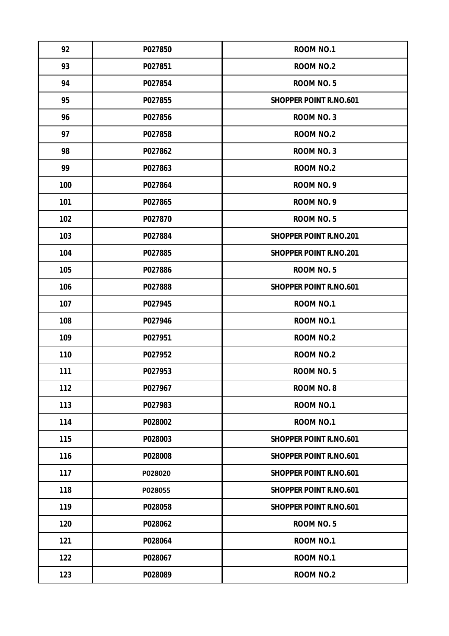| 92  | P027850 | <b>ROOM NO.1</b>              |
|-----|---------|-------------------------------|
| 93  | P027851 | <b>ROOM NO.2</b>              |
| 94  | P027854 | <b>ROOM NO.5</b>              |
| 95  | P027855 | <b>SHOPPER POINT R.NO.601</b> |
| 96  | P027856 | <b>ROOM NO. 3</b>             |
| 97  | P027858 | <b>ROOM NO.2</b>              |
| 98  | P027862 | <b>ROOM NO. 3</b>             |
| 99  | P027863 | <b>ROOM NO.2</b>              |
| 100 | P027864 | ROOM NO. 9                    |
| 101 | P027865 | ROOM NO. 9                    |
| 102 | P027870 | ROOM NO.5                     |
| 103 | P027884 | <b>SHOPPER POINT R.NO.201</b> |
| 104 | P027885 | <b>SHOPPER POINT R.NO.201</b> |
| 105 | P027886 | ROOM NO.5                     |
| 106 | P027888 | <b>SHOPPER POINT R.NO.601</b> |
| 107 | P027945 | <b>ROOM NO.1</b>              |
| 108 | P027946 | <b>ROOM NO.1</b>              |
| 109 | P027951 | <b>ROOM NO.2</b>              |
| 110 | P027952 | <b>ROOM NO.2</b>              |
| 111 | P027953 | <b>ROOM NO. 5</b>             |
| 112 | P027967 | <b>ROOM NO. 8</b>             |
| 113 | P027983 | ROOM NO.1                     |
| 114 | P028002 | <b>ROOM NO.1</b>              |
| 115 | P028003 | <b>SHOPPER POINT R.NO.601</b> |
| 116 | P028008 | <b>SHOPPER POINT R.NO.601</b> |
| 117 | P028020 | <b>SHOPPER POINT R.NO.601</b> |
| 118 | P028055 | <b>SHOPPER POINT R.NO.601</b> |
| 119 | P028058 | <b>SHOPPER POINT R.NO.601</b> |
| 120 | P028062 | ROOM NO.5                     |
| 121 | P028064 | <b>ROOM NO.1</b>              |
| 122 | P028067 | <b>ROOM NO.1</b>              |
| 123 | P028089 | <b>ROOM NO.2</b>              |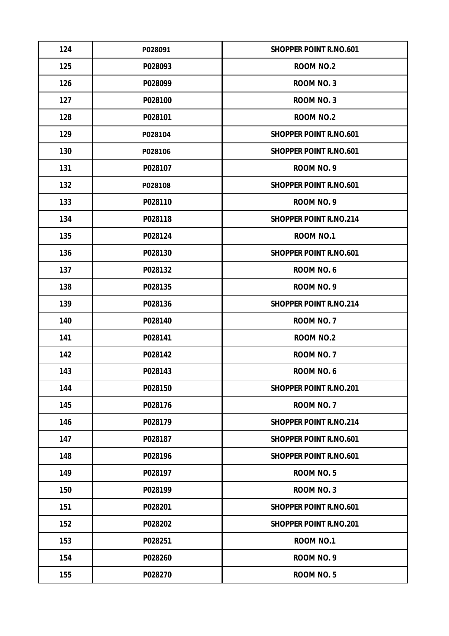| 124 | P028091 | <b>SHOPPER POINT R.NO.601</b> |
|-----|---------|-------------------------------|
| 125 | P028093 | <b>ROOM NO.2</b>              |
| 126 | P028099 | <b>ROOM NO. 3</b>             |
| 127 | P028100 | <b>ROOM NO. 3</b>             |
| 128 | P028101 | <b>ROOM NO.2</b>              |
| 129 | P028104 | <b>SHOPPER POINT R.NO.601</b> |
| 130 | P028106 | <b>SHOPPER POINT R.NO.601</b> |
| 131 | P028107 | ROOM NO. 9                    |
| 132 | P028108 | <b>SHOPPER POINT R.NO.601</b> |
| 133 | P028110 | ROOM NO. 9                    |
| 134 | P028118 | <b>SHOPPER POINT R.NO.214</b> |
| 135 | P028124 | <b>ROOM NO.1</b>              |
| 136 | P028130 | <b>SHOPPER POINT R.NO.601</b> |
| 137 | P028132 | ROOM NO. 6                    |
| 138 | P028135 | ROOM NO. 9                    |
| 139 | P028136 | <b>SHOPPER POINT R.NO.214</b> |
| 140 | P028140 | ROOM NO. 7                    |
| 141 | P028141 | <b>ROOM NO.2</b>              |
| 142 | P028142 | ROOM NO. 7                    |
| 143 | P028143 | <b>ROOM NO. 6</b>             |
| 144 | P028150 | <b>SHOPPER POINT R.NO.201</b> |
| 145 | P028176 | ROOM NO. 7                    |
| 146 | P028179 | <b>SHOPPER POINT R.NO.214</b> |
| 147 | P028187 | <b>SHOPPER POINT R.NO.601</b> |
| 148 | P028196 | <b>SHOPPER POINT R.NO.601</b> |
| 149 | P028197 | <b>ROOM NO.5</b>              |
| 150 | P028199 | <b>ROOM NO. 3</b>             |
| 151 | P028201 | <b>SHOPPER POINT R.NO.601</b> |
| 152 | P028202 | <b>SHOPPER POINT R.NO.201</b> |
| 153 | P028251 | <b>ROOM NO.1</b>              |
| 154 | P028260 | ROOM NO. 9                    |
| 155 | P028270 | ROOM NO.5                     |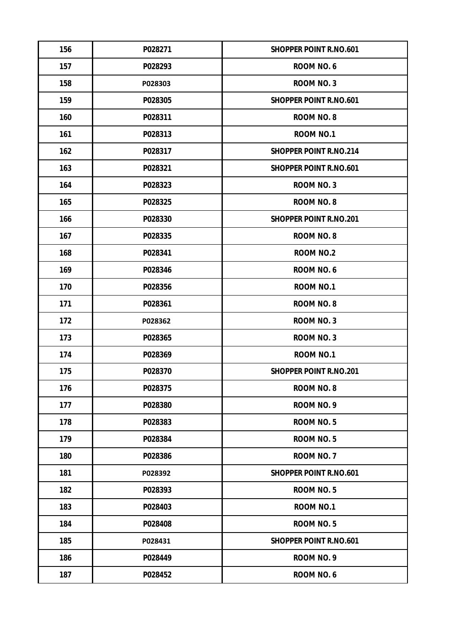| 156 | P028271 | <b>SHOPPER POINT R.NO.601</b> |
|-----|---------|-------------------------------|
| 157 | P028293 | ROOM NO. 6                    |
| 158 | P028303 | <b>ROOM NO. 3</b>             |
| 159 | P028305 | <b>SHOPPER POINT R.NO.601</b> |
| 160 | P028311 | <b>ROOM NO. 8</b>             |
| 161 | P028313 | <b>ROOM NO.1</b>              |
| 162 | P028317 | <b>SHOPPER POINT R.NO.214</b> |
| 163 | P028321 | <b>SHOPPER POINT R.NO.601</b> |
| 164 | P028323 | <b>ROOM NO. 3</b>             |
| 165 | P028325 | <b>ROOM NO. 8</b>             |
| 166 | P028330 | <b>SHOPPER POINT R.NO.201</b> |
| 167 | P028335 | <b>ROOM NO. 8</b>             |
| 168 | P028341 | <b>ROOM NO.2</b>              |
| 169 | P028346 | ROOM NO.6                     |
| 170 | P028356 | <b>ROOM NO.1</b>              |
| 171 | P028361 | <b>ROOM NO. 8</b>             |
| 172 | P028362 | <b>ROOM NO. 3</b>             |
| 173 | P028365 | <b>ROOM NO. 3</b>             |
| 174 | P028369 | <b>ROOM NO.1</b>              |
| 175 | P028370 | <b>SHOPPER POINT R.NO.201</b> |
| 176 | P028375 | <b>ROOM NO. 8</b>             |
| 177 | P028380 | ROOM NO. 9                    |
| 178 | P028383 | ROOM NO.5                     |
| 179 | P028384 | ROOM NO.5                     |
| 180 | P028386 | ROOM NO. 7                    |
| 181 | P028392 | <b>SHOPPER POINT R.NO.601</b> |
| 182 | P028393 | <b>ROOM NO.5</b>              |
| 183 | P028403 | <b>ROOM NO.1</b>              |
| 184 | P028408 | ROOM NO.5                     |
| 185 | P028431 | <b>SHOPPER POINT R.NO.601</b> |
| 186 | P028449 | ROOM NO. 9                    |
| 187 | P028452 | ROOM NO.6                     |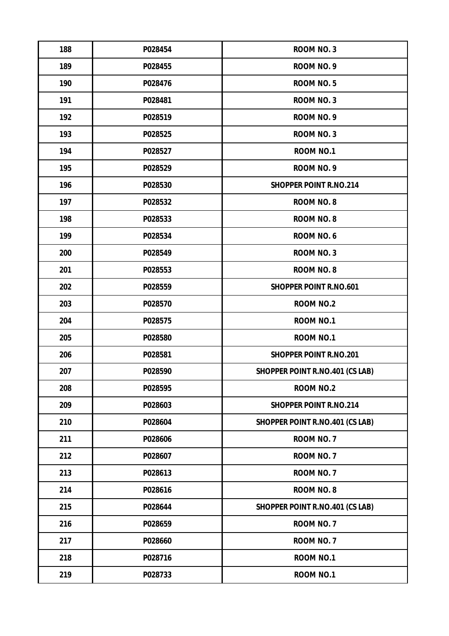| 188 | P028454 | <b>ROOM NO. 3</b>                      |
|-----|---------|----------------------------------------|
| 189 | P028455 | ROOM NO. 9                             |
| 190 | P028476 | ROOM NO.5                              |
| 191 | P028481 | <b>ROOM NO. 3</b>                      |
| 192 | P028519 | ROOM NO. 9                             |
| 193 | P028525 | <b>ROOM NO. 3</b>                      |
| 194 | P028527 | <b>ROOM NO.1</b>                       |
| 195 | P028529 | ROOM NO. 9                             |
| 196 | P028530 | <b>SHOPPER POINT R.NO.214</b>          |
| 197 | P028532 | <b>ROOM NO. 8</b>                      |
| 198 | P028533 | <b>ROOM NO. 8</b>                      |
| 199 | P028534 | ROOM NO.6                              |
| 200 | P028549 | <b>ROOM NO. 3</b>                      |
| 201 | P028553 | <b>ROOM NO. 8</b>                      |
| 202 | P028559 | <b>SHOPPER POINT R.NO.601</b>          |
| 203 | P028570 | <b>ROOM NO.2</b>                       |
| 204 | P028575 | ROOM NO.1                              |
| 205 | P028580 | ROOM NO.1                              |
| 206 | P028581 | <b>SHOPPER POINT R.NO.201</b>          |
| 207 | P028590 | <b>SHOPPER POINT R.NO.401 (CS LAB)</b> |
| 208 | P028595 | <b>ROOM NO.2</b>                       |
| 209 | P028603 | <b>SHOPPER POINT R.NO.214</b>          |
| 210 | P028604 | <b>SHOPPER POINT R.NO.401 (CS LAB)</b> |
| 211 | P028606 | ROOM NO. 7                             |
| 212 | P028607 | ROOM NO. 7                             |
| 213 | P028613 | ROOM NO. 7                             |
| 214 | P028616 | <b>ROOM NO. 8</b>                      |
| 215 | P028644 | <b>SHOPPER POINT R.NO.401 (CS LAB)</b> |
| 216 | P028659 | ROOM NO. 7                             |
| 217 | P028660 | ROOM NO. 7                             |
| 218 | P028716 | ROOM NO.1                              |
| 219 | P028733 | ROOM NO.1                              |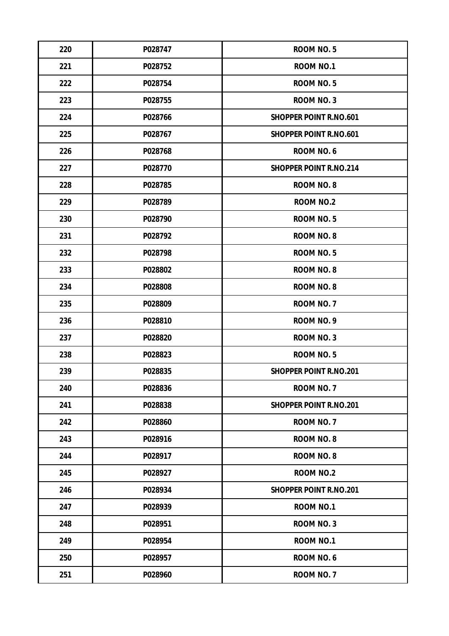| 220 | P028747 | <b>ROOM NO.5</b>              |
|-----|---------|-------------------------------|
| 221 | P028752 | <b>ROOM NO.1</b>              |
| 222 | P028754 | ROOM NO.5                     |
| 223 | P028755 | ROOM NO. 3                    |
| 224 | P028766 | <b>SHOPPER POINT R.NO.601</b> |
| 225 | P028767 | <b>SHOPPER POINT R.NO.601</b> |
| 226 | P028768 | ROOM NO. 6                    |
| 227 | P028770 | <b>SHOPPER POINT R.NO.214</b> |
| 228 | P028785 | <b>ROOM NO. 8</b>             |
| 229 | P028789 | <b>ROOM NO.2</b>              |
| 230 | P028790 | ROOM NO.5                     |
| 231 | P028792 | ROOM NO. 8                    |
| 232 | P028798 | ROOM NO.5                     |
| 233 | P028802 | ROOM NO. 8                    |
| 234 | P028808 | <b>ROOM NO. 8</b>             |
| 235 | P028809 | ROOM NO. 7                    |
| 236 | P028810 | ROOM NO. 9                    |
| 237 | P028820 | <b>ROOM NO. 3</b>             |
| 238 | P028823 | ROOM NO.5                     |
| 239 | P028835 | <b>SHOPPER POINT R.NO.201</b> |
| 240 | P028836 | ROOM NO. 7                    |
| 241 | P028838 | <b>SHOPPER POINT R.NO.201</b> |
| 242 | P028860 | ROOM NO. 7                    |
| 243 | P028916 | ROOM NO. 8                    |
| 244 | P028917 | ROOM NO. 8                    |
| 245 | P028927 | <b>ROOM NO.2</b>              |
| 246 | P028934 | <b>SHOPPER POINT R.NO.201</b> |
| 247 | P028939 | ROOM NO.1                     |
| 248 | P028951 | <b>ROOM NO. 3</b>             |
| 249 | P028954 | <b>ROOM NO.1</b>              |
| 250 | P028957 | ROOM NO.6                     |
| 251 | P028960 | ROOM NO. 7                    |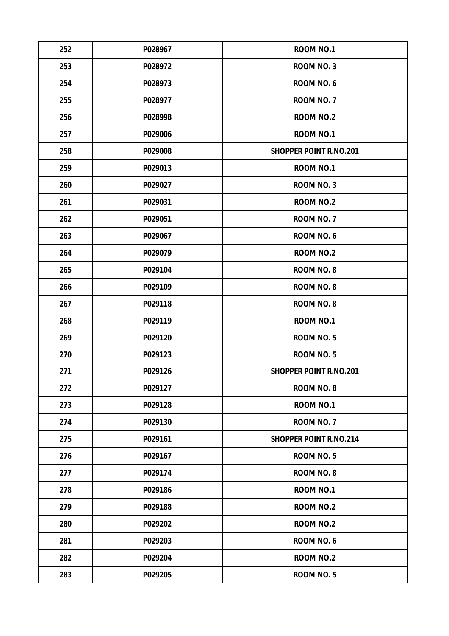| 252 | P028967 | ROOM NO.1                     |
|-----|---------|-------------------------------|
| 253 | P028972 | <b>ROOM NO. 3</b>             |
| 254 | P028973 | ROOM NO.6                     |
| 255 | P028977 | ROOM NO. 7                    |
| 256 | P028998 | <b>ROOM NO.2</b>              |
| 257 | P029006 | <b>ROOM NO.1</b>              |
| 258 | P029008 | <b>SHOPPER POINT R.NO.201</b> |
| 259 | P029013 | <b>ROOM NO.1</b>              |
| 260 | P029027 | <b>ROOM NO. 3</b>             |
| 261 | P029031 | <b>ROOM NO.2</b>              |
| 262 | P029051 | ROOM NO. 7                    |
| 263 | P029067 | ROOM NO.6                     |
| 264 | P029079 | <b>ROOM NO.2</b>              |
| 265 | P029104 | <b>ROOM NO. 8</b>             |
| 266 | P029109 | <b>ROOM NO. 8</b>             |
| 267 | P029118 | <b>ROOM NO. 8</b>             |
| 268 | P029119 | <b>ROOM NO.1</b>              |
| 269 | P029120 | <b>ROOM NO.5</b>              |
| 270 | P029123 | ROOM NO.5                     |
| 271 | P029126 | <b>SHOPPER POINT R.NO.201</b> |
| 272 | P029127 | <b>ROOM NO. 8</b>             |
| 273 | P029128 | <b>ROOM NO.1</b>              |
| 274 | P029130 | ROOM NO. 7                    |
| 275 | P029161 | <b>SHOPPER POINT R.NO.214</b> |
| 276 | P029167 | ROOM NO.5                     |
| 277 | P029174 | <b>ROOM NO. 8</b>             |
| 278 | P029186 | <b>ROOM NO.1</b>              |
| 279 | P029188 | <b>ROOM NO.2</b>              |
| 280 | P029202 | <b>ROOM NO.2</b>              |
| 281 | P029203 | ROOM NO.6                     |
| 282 | P029204 | ROOM NO.2                     |
| 283 | P029205 | ROOM NO.5                     |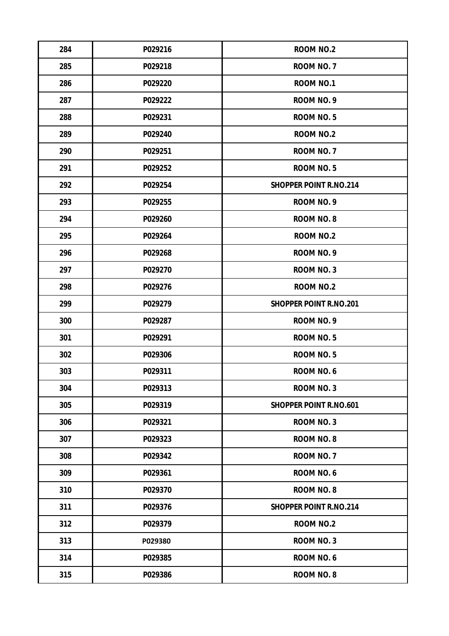| 284 | P029216 | <b>ROOM NO.2</b>              |
|-----|---------|-------------------------------|
| 285 | P029218 | ROOM NO. 7                    |
| 286 | P029220 | <b>ROOM NO.1</b>              |
| 287 | P029222 | ROOM NO. 9                    |
| 288 | P029231 | ROOM NO.5                     |
| 289 | P029240 | <b>ROOM NO.2</b>              |
| 290 | P029251 | ROOM NO. 7                    |
| 291 | P029252 | ROOM NO.5                     |
| 292 | P029254 | <b>SHOPPER POINT R.NO.214</b> |
| 293 | P029255 | ROOM NO. 9                    |
| 294 | P029260 | <b>ROOM NO. 8</b>             |
| 295 | P029264 | <b>ROOM NO.2</b>              |
| 296 | P029268 | ROOM NO. 9                    |
| 297 | P029270 | <b>ROOM NO. 3</b>             |
| 298 | P029276 | <b>ROOM NO.2</b>              |
| 299 | P029279 | <b>SHOPPER POINT R.NO.201</b> |
| 300 | P029287 | ROOM NO. 9                    |
| 301 | P029291 | ROOM NO.5                     |
| 302 | P029306 | ROOM NO.5                     |
| 303 | P029311 | <b>ROOM NO. 6</b>             |
| 304 | P029313 | <b>ROOM NO. 3</b>             |
| 305 | P029319 | <b>SHOPPER POINT R.NO.601</b> |
| 306 | P029321 | <b>ROOM NO. 3</b>             |
| 307 | P029323 | ROOM NO. 8                    |
| 308 | P029342 | ROOM NO. 7                    |
| 309 | P029361 | ROOM NO.6                     |
| 310 | P029370 | <b>ROOM NO. 8</b>             |
| 311 | P029376 | <b>SHOPPER POINT R.NO.214</b> |
| 312 | P029379 | <b>ROOM NO.2</b>              |
| 313 | P029380 | ROOM NO. 3                    |
| 314 | P029385 | ROOM NO.6                     |
| 315 | P029386 | ROOM NO. 8                    |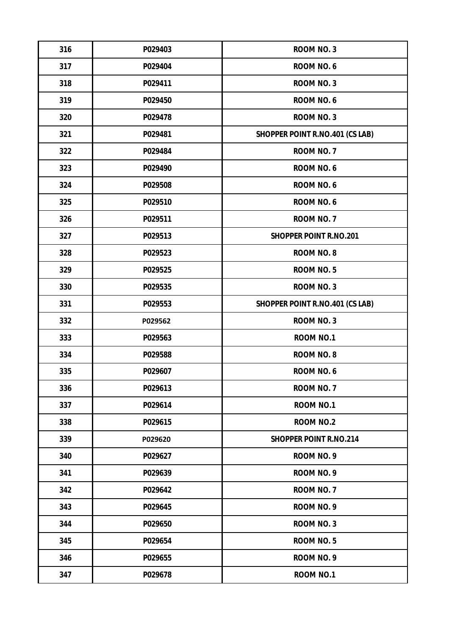| 316 | P029403 | <b>ROOM NO. 3</b>                      |
|-----|---------|----------------------------------------|
| 317 | P029404 | ROOM NO.6                              |
| 318 | P029411 | <b>ROOM NO. 3</b>                      |
| 319 | P029450 | ROOM NO.6                              |
| 320 | P029478 | <b>ROOM NO. 3</b>                      |
| 321 | P029481 | <b>SHOPPER POINT R.NO.401 (CS LAB)</b> |
| 322 | P029484 | ROOM NO. 7                             |
| 323 | P029490 | ROOM NO.6                              |
| 324 | P029508 | ROOM NO.6                              |
| 325 | P029510 | ROOM NO.6                              |
| 326 | P029511 | ROOM NO. 7                             |
| 327 | P029513 | <b>SHOPPER POINT R.NO.201</b>          |
| 328 | P029523 | <b>ROOM NO. 8</b>                      |
| 329 | P029525 | ROOM NO.5                              |
| 330 | P029535 | <b>ROOM NO. 3</b>                      |
| 331 | P029553 | <b>SHOPPER POINT R.NO.401 (CS LAB)</b> |
| 332 | P029562 | <b>ROOM NO. 3</b>                      |
| 333 | P029563 | <b>ROOM NO.1</b>                       |
| 334 | P029588 | <b>ROOM NO. 8</b>                      |
| 335 | P029607 | ROOM NO.6                              |
| 336 | P029613 | ROOM NO. 7                             |
| 337 | P029614 | <b>ROOM NO.1</b>                       |
| 338 | P029615 | <b>ROOM NO.2</b>                       |
| 339 | P029620 | <b>SHOPPER POINT R.NO.214</b>          |
| 340 | P029627 | ROOM NO. 9                             |
| 341 | P029639 | ROOM NO. 9                             |
| 342 | P029642 | ROOM NO. 7                             |
| 343 | P029645 | ROOM NO. 9                             |
| 344 | P029650 | <b>ROOM NO. 3</b>                      |
| 345 | P029654 | ROOM NO.5                              |
| 346 | P029655 | ROOM NO. 9                             |
| 347 | P029678 | <b>ROOM NO.1</b>                       |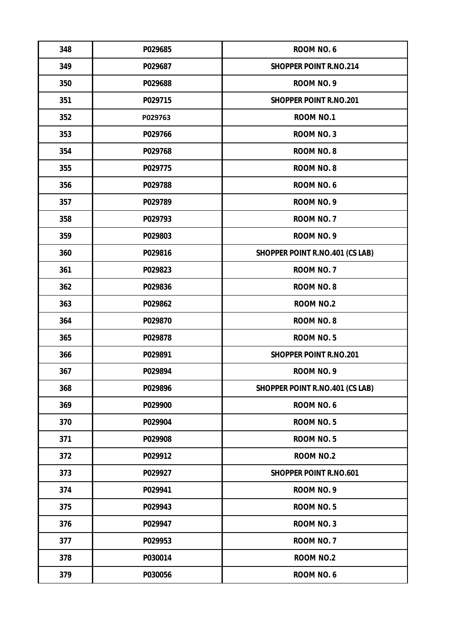| 348 | P029685 | ROOM NO. 6                             |
|-----|---------|----------------------------------------|
| 349 | P029687 | <b>SHOPPER POINT R.NO.214</b>          |
| 350 | P029688 | ROOM NO. 9                             |
| 351 | P029715 | <b>SHOPPER POINT R.NO.201</b>          |
| 352 | P029763 | <b>ROOM NO.1</b>                       |
| 353 | P029766 | <b>ROOM NO. 3</b>                      |
| 354 | P029768 | <b>ROOM NO. 8</b>                      |
| 355 | P029775 | <b>ROOM NO. 8</b>                      |
| 356 | P029788 | ROOM NO.6                              |
| 357 | P029789 | ROOM NO. 9                             |
| 358 | P029793 | ROOM NO. 7                             |
| 359 | P029803 | ROOM NO. 9                             |
| 360 | P029816 | <b>SHOPPER POINT R.NO.401 (CS LAB)</b> |
| 361 | P029823 | ROOM NO. 7                             |
| 362 | P029836 | <b>ROOM NO. 8</b>                      |
| 363 | P029862 | <b>ROOM NO.2</b>                       |
| 364 | P029870 | <b>ROOM NO. 8</b>                      |
| 365 | P029878 | <b>ROOM NO.5</b>                       |
| 366 | P029891 | <b>SHOPPER POINT R.NO.201</b>          |
| 367 | P029894 | ROOM NO. 9                             |
| 368 | P029896 | <b>SHOPPER POINT R.NO.401 (CS LAB)</b> |
| 369 | P029900 | ROOM NO.6                              |
| 370 | P029904 | ROOM NO.5                              |
| 371 | P029908 | ROOM NO.5                              |
| 372 | P029912 | <b>ROOM NO.2</b>                       |
| 373 | P029927 | <b>SHOPPER POINT R.NO.601</b>          |
| 374 | P029941 | ROOM NO. 9                             |
| 375 | P029943 | ROOM NO.5                              |
| 376 | P029947 | <b>ROOM NO. 3</b>                      |
| 377 | P029953 | ROOM NO. 7                             |
| 378 | P030014 | <b>ROOM NO.2</b>                       |
| 379 | P030056 | ROOM NO.6                              |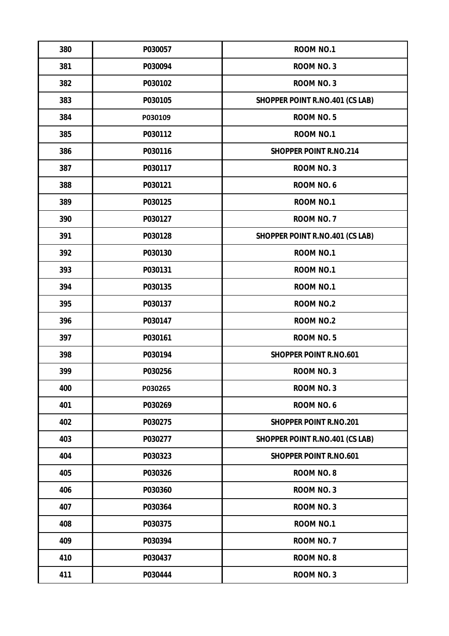| 380 | P030057 | <b>ROOM NO.1</b>                       |
|-----|---------|----------------------------------------|
| 381 | P030094 | <b>ROOM NO. 3</b>                      |
| 382 | P030102 | <b>ROOM NO. 3</b>                      |
| 383 | P030105 | <b>SHOPPER POINT R.NO.401 (CS LAB)</b> |
| 384 | P030109 | ROOM NO.5                              |
| 385 | P030112 | <b>ROOM NO.1</b>                       |
| 386 | P030116 | <b>SHOPPER POINT R.NO.214</b>          |
| 387 | P030117 | <b>ROOM NO. 3</b>                      |
| 388 | P030121 | ROOM NO.6                              |
| 389 | P030125 | <b>ROOM NO.1</b>                       |
| 390 | P030127 | ROOM NO. 7                             |
| 391 | P030128 | <b>SHOPPER POINT R.NO.401 (CS LAB)</b> |
| 392 | P030130 | <b>ROOM NO.1</b>                       |
| 393 | P030131 | <b>ROOM NO.1</b>                       |
| 394 | P030135 | <b>ROOM NO.1</b>                       |
| 395 | P030137 | <b>ROOM NO.2</b>                       |
| 396 | P030147 | <b>ROOM NO.2</b>                       |
| 397 | P030161 | ROOM NO.5                              |
| 398 | P030194 | <b>SHOPPER POINT R.NO.601</b>          |
| 399 | P030256 | <b>ROOM NO. 3</b>                      |
| 400 | P030265 | <b>ROOM NO. 3</b>                      |
| 401 | P030269 | ROOM NO. 6                             |
| 402 | P030275 | <b>SHOPPER POINT R.NO.201</b>          |
| 403 | P030277 | <b>SHOPPER POINT R.NO.401 (CS LAB)</b> |
| 404 | P030323 | <b>SHOPPER POINT R.NO.601</b>          |
| 405 | P030326 | <b>ROOM NO. 8</b>                      |
| 406 | P030360 | <b>ROOM NO. 3</b>                      |
| 407 | P030364 | <b>ROOM NO. 3</b>                      |
| 408 | P030375 | <b>ROOM NO.1</b>                       |
| 409 | P030394 | ROOM NO. 7                             |
| 410 | P030437 | <b>ROOM NO. 8</b>                      |
| 411 | P030444 | <b>ROOM NO. 3</b>                      |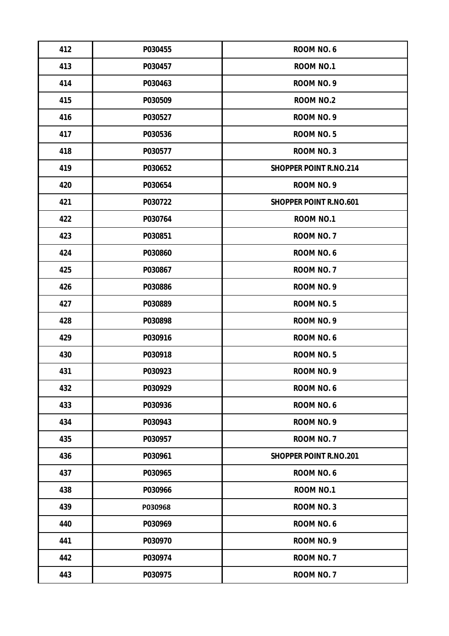| 412 | P030455 | ROOM NO. 6                    |
|-----|---------|-------------------------------|
| 413 | P030457 | <b>ROOM NO.1</b>              |
| 414 | P030463 | ROOM NO. 9                    |
| 415 | P030509 | <b>ROOM NO.2</b>              |
| 416 | P030527 | ROOM NO. 9                    |
| 417 | P030536 | ROOM NO.5                     |
| 418 | P030577 | <b>ROOM NO. 3</b>             |
| 419 | P030652 | <b>SHOPPER POINT R.NO.214</b> |
| 420 | P030654 | ROOM NO. 9                    |
| 421 | P030722 | <b>SHOPPER POINT R.NO.601</b> |
| 422 | P030764 | <b>ROOM NO.1</b>              |
| 423 | P030851 | ROOM NO. 7                    |
| 424 | P030860 | ROOM NO.6                     |
| 425 | P030867 | ROOM NO. 7                    |
| 426 | P030886 | ROOM NO. 9                    |
| 427 | P030889 | ROOM NO.5                     |
| 428 | P030898 | ROOM NO. 9                    |
| 429 | P030916 | ROOM NO.6                     |
| 430 | P030918 | ROOM NO.5                     |
| 431 | P030923 | ROOM NO. 9                    |
| 432 | P030929 | ROOM NO.6                     |
| 433 | P030936 | ROOM NO.6                     |
| 434 | P030943 | ROOM NO. 9                    |
| 435 | P030957 | ROOM NO. 7                    |
| 436 | P030961 | <b>SHOPPER POINT R.NO.201</b> |
| 437 | P030965 | ROOM NO.6                     |
| 438 | P030966 | <b>ROOM NO.1</b>              |
| 439 | P030968 | <b>ROOM NO. 3</b>             |
| 440 | P030969 | ROOM NO.6                     |
| 441 | P030970 | ROOM NO. 9                    |
| 442 | P030974 | ROOM NO. 7                    |
| 443 | P030975 | ROOM NO. 7                    |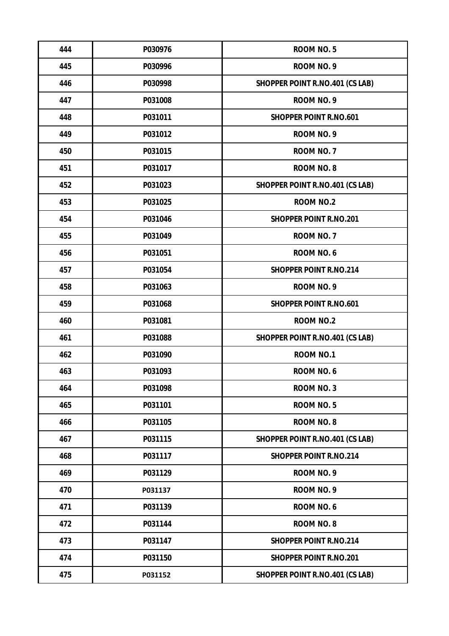| 444 | P030976 | <b>ROOM NO.5</b>                       |
|-----|---------|----------------------------------------|
| 445 | P030996 | ROOM NO. 9                             |
| 446 | P030998 | <b>SHOPPER POINT R.NO.401 (CS LAB)</b> |
| 447 | P031008 | ROOM NO. 9                             |
| 448 | P031011 | <b>SHOPPER POINT R.NO.601</b>          |
| 449 | P031012 | ROOM NO. 9                             |
| 450 | P031015 | ROOM NO. 7                             |
| 451 | P031017 | <b>ROOM NO. 8</b>                      |
| 452 | P031023 | <b>SHOPPER POINT R.NO.401 (CS LAB)</b> |
| 453 | P031025 | <b>ROOM NO.2</b>                       |
| 454 | P031046 | <b>SHOPPER POINT R.NO.201</b>          |
| 455 | P031049 | ROOM NO. 7                             |
| 456 | P031051 | ROOM NO.6                              |
| 457 | P031054 | <b>SHOPPER POINT R.NO.214</b>          |
| 458 | P031063 | ROOM NO. 9                             |
| 459 | P031068 | <b>SHOPPER POINT R.NO.601</b>          |
| 460 | P031081 | <b>ROOM NO.2</b>                       |
| 461 | P031088 | <b>SHOPPER POINT R.NO.401 (CS LAB)</b> |
| 462 | P031090 | <b>ROOM NO.1</b>                       |
| 463 | P031093 | ROOM NO.6                              |
| 464 | P031098 | <b>ROOM NO. 3</b>                      |
| 465 | P031101 | ROOM NO.5                              |
| 466 | P031105 | <b>ROOM NO. 8</b>                      |
| 467 | P031115 | <b>SHOPPER POINT R.NO.401 (CS LAB)</b> |
| 468 | P031117 | <b>SHOPPER POINT R.NO.214</b>          |
| 469 | P031129 | ROOM NO. 9                             |
| 470 | P031137 | ROOM NO. 9                             |
| 471 | P031139 | ROOM NO.6                              |
| 472 | P031144 | <b>ROOM NO. 8</b>                      |
| 473 | P031147 | <b>SHOPPER POINT R.NO.214</b>          |
| 474 | P031150 | <b>SHOPPER POINT R.NO.201</b>          |
| 475 | P031152 | <b>SHOPPER POINT R.NO.401 (CS LAB)</b> |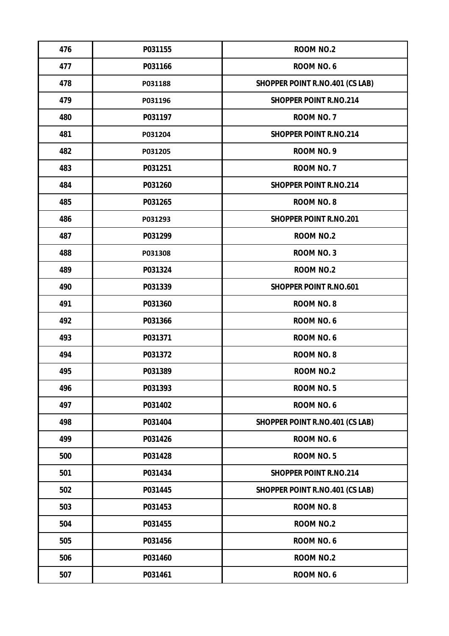| 476 | P031155 | ROOM NO.2                              |
|-----|---------|----------------------------------------|
| 477 | P031166 | ROOM NO.6                              |
| 478 | P031188 | <b>SHOPPER POINT R.NO.401 (CS LAB)</b> |
| 479 | P031196 | <b>SHOPPER POINT R.NO.214</b>          |
| 480 | P031197 | ROOM NO. 7                             |
| 481 | P031204 | <b>SHOPPER POINT R.NO.214</b>          |
| 482 | P031205 | ROOM NO. 9                             |
| 483 | P031251 | ROOM NO. 7                             |
| 484 | P031260 | <b>SHOPPER POINT R.NO.214</b>          |
| 485 | P031265 | <b>ROOM NO. 8</b>                      |
| 486 | P031293 | <b>SHOPPER POINT R.NO.201</b>          |
| 487 | P031299 | <b>ROOM NO.2</b>                       |
| 488 | P031308 | <b>ROOM NO. 3</b>                      |
| 489 | P031324 | <b>ROOM NO.2</b>                       |
| 490 | P031339 | <b>SHOPPER POINT R.NO.601</b>          |
| 491 | P031360 | <b>ROOM NO. 8</b>                      |
| 492 | P031366 | ROOM NO.6                              |
| 493 | P031371 | ROOM NO.6                              |
| 494 | P031372 | <b>ROOM NO. 8</b>                      |
| 495 | P031389 | <b>ROOM NO.2</b>                       |
| 496 | P031393 | ROOM NO.5                              |
| 497 | P031402 | ROOM NO.6                              |
| 498 | P031404 | <b>SHOPPER POINT R.NO.401 (CS LAB)</b> |
| 499 | P031426 | ROOM NO.6                              |
| 500 | P031428 | ROOM NO.5                              |
| 501 | P031434 | <b>SHOPPER POINT R.NO.214</b>          |
| 502 | P031445 | <b>SHOPPER POINT R.NO.401 (CS LAB)</b> |
| 503 | P031453 | <b>ROOM NO. 8</b>                      |
| 504 | P031455 | <b>ROOM NO.2</b>                       |
| 505 | P031456 | ROOM NO.6                              |
| 506 | P031460 | <b>ROOM NO.2</b>                       |
| 507 | P031461 | ROOM NO.6                              |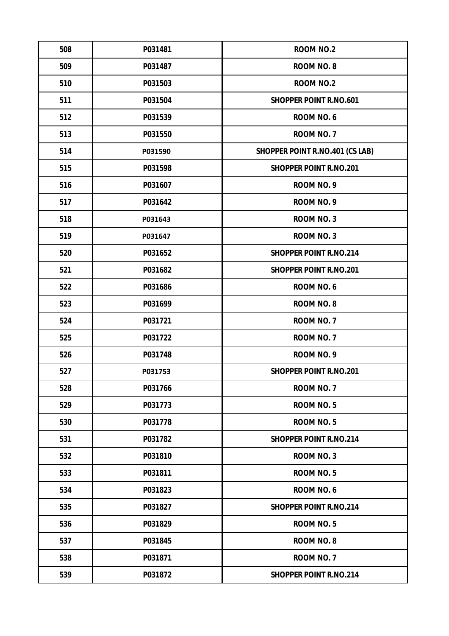| 508 | P031481 | <b>ROOM NO.2</b>                       |
|-----|---------|----------------------------------------|
| 509 | P031487 | <b>ROOM NO. 8</b>                      |
| 510 | P031503 | <b>ROOM NO.2</b>                       |
| 511 | P031504 | <b>SHOPPER POINT R.NO.601</b>          |
| 512 | P031539 | ROOM NO.6                              |
| 513 | P031550 | ROOM NO. 7                             |
| 514 | P031590 | <b>SHOPPER POINT R.NO.401 (CS LAB)</b> |
| 515 | P031598 | <b>SHOPPER POINT R.NO.201</b>          |
| 516 | P031607 | ROOM NO. 9                             |
| 517 | P031642 | ROOM NO. 9                             |
| 518 | P031643 | <b>ROOM NO. 3</b>                      |
| 519 | P031647 | <b>ROOM NO. 3</b>                      |
| 520 | P031652 | <b>SHOPPER POINT R.NO.214</b>          |
| 521 | P031682 | <b>SHOPPER POINT R.NO.201</b>          |
| 522 | P031686 | ROOM NO. 6                             |
| 523 | P031699 | <b>ROOM NO. 8</b>                      |
| 524 | P031721 | ROOM NO. 7                             |
| 525 | P031722 | ROOM NO. 7                             |
| 526 | P031748 | ROOM NO. 9                             |
| 527 | P031753 | <b>SHOPPER POINT R.NO.201</b>          |
| 528 | P031766 | ROOM NO. 7                             |
| 529 | P031773 | ROOM NO.5                              |
| 530 | P031778 | ROOM NO.5                              |
| 531 | P031782 | <b>SHOPPER POINT R.NO.214</b>          |
| 532 | P031810 | <b>ROOM NO. 3</b>                      |
| 533 | P031811 | ROOM NO.5                              |
| 534 | P031823 | ROOM NO.6                              |
| 535 | P031827 | <b>SHOPPER POINT R.NO.214</b>          |
| 536 | P031829 | ROOM NO.5                              |
| 537 | P031845 | <b>ROOM NO. 8</b>                      |
| 538 | P031871 | ROOM NO. 7                             |
| 539 | P031872 | <b>SHOPPER POINT R.NO.214</b>          |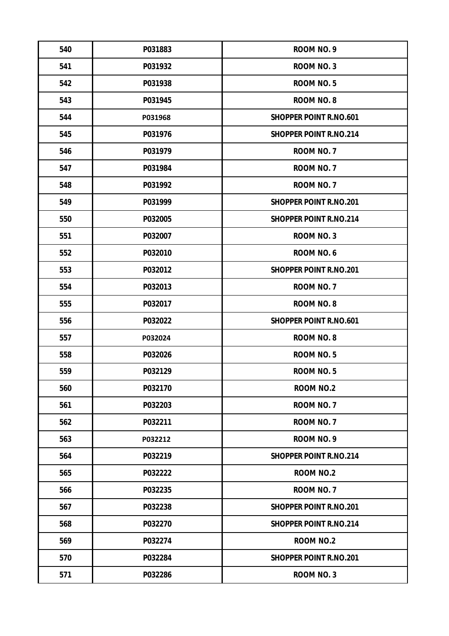| 540 | P031883 | ROOM NO. 9                    |
|-----|---------|-------------------------------|
| 541 | P031932 | <b>ROOM NO. 3</b>             |
| 542 | P031938 | <b>ROOM NO.5</b>              |
| 543 | P031945 | <b>ROOM NO. 8</b>             |
| 544 | P031968 | <b>SHOPPER POINT R.NO.601</b> |
| 545 | P031976 | <b>SHOPPER POINT R.NO.214</b> |
| 546 | P031979 | ROOM NO. 7                    |
| 547 | P031984 | ROOM NO. 7                    |
| 548 | P031992 | ROOM NO. 7                    |
| 549 | P031999 | <b>SHOPPER POINT R.NO.201</b> |
| 550 | P032005 | <b>SHOPPER POINT R.NO.214</b> |
| 551 | P032007 | <b>ROOM NO. 3</b>             |
| 552 | P032010 | <b>ROOM NO. 6</b>             |
| 553 | P032012 | <b>SHOPPER POINT R.NO.201</b> |
| 554 | P032013 | ROOM NO. 7                    |
| 555 | P032017 | <b>ROOM NO. 8</b>             |
| 556 | P032022 | <b>SHOPPER POINT R.NO.601</b> |
| 557 | P032024 | <b>ROOM NO. 8</b>             |
| 558 | P032026 | ROOM NO.5                     |
| 559 | P032129 | <b>ROOM NO.5</b>              |
| 560 | P032170 | <b>ROOM NO.2</b>              |
| 561 | P032203 | ROOM NO. 7                    |
| 562 | P032211 | ROOM NO. 7                    |
| 563 | P032212 | ROOM NO. 9                    |
| 564 | P032219 | <b>SHOPPER POINT R.NO.214</b> |
| 565 | P032222 | <b>ROOM NO.2</b>              |
| 566 | P032235 | ROOM NO. 7                    |
| 567 | P032238 | <b>SHOPPER POINT R.NO.201</b> |
| 568 | P032270 | <b>SHOPPER POINT R.NO.214</b> |
| 569 | P032274 | <b>ROOM NO.2</b>              |
| 570 | P032284 | <b>SHOPPER POINT R.NO.201</b> |
| 571 | P032286 | ROOM NO. 3                    |